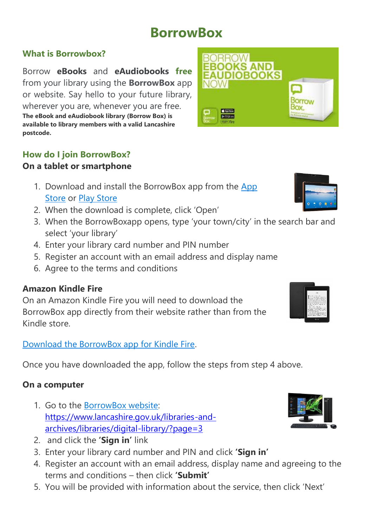# **BorrowBox**

## **What is Borrowbox?**

Borrow **eBooks** and **eAudiobooks free** from your library using the **BorrowBox** app or website. Say hello to your future library, wherever you are, whenever you are free. **The eBook and eAudiobook library (Borrow Box) is available to library members with a valid Lancashire postcode.**

## **How do I join BorrowBox?**

## **On a tablet or smartphone**

- 1. Download and install the BorrowBox app from the [App](https://itunes.apple.com/gb/app/borrowbox-library/id562843562?mt=8)  [Store](https://itunes.apple.com/gb/app/borrowbox-library/id562843562?mt=8) or [Play Store](https://play.google.com/store/apps/details?id=com.bolindadigital.BorrowBoxLibrary&hl=en_GB)
- 2. When the download is complete, click 'Open'
- 3. When the BorrowBoxapp opens, type 'your town/city' in the search bar and select 'your library'
- 4. Enter your library card number and PIN number
- 5. Register an account with an email address and display name
- 6. Agree to the terms and conditions

## **Amazon Kindle Fire**

On an Amazon Kindle Fire you will need to download the BorrowBox app directly from their website rather than from the Kindle store.

#### [Download the BorrowBox app for Kindle Fire.](http://www.borrowbox.com/kindlefire/install/)

Once you have downloaded the app, follow the steps from step 4 above.

#### **On a computer**

- 1. Go to the [BorrowBox website:](http://library.bolindadigital.com/suffolk) [https://www.lancashire.gov.uk/libraries-and](https://www.lancashire.gov.uk/libraries-and-archives/libraries/digital-library/?page=3)[archives/libraries/digital-library/?page=3](https://www.lancashire.gov.uk/libraries-and-archives/libraries/digital-library/?page=3)
- 2. and click the **'Sign in'** link
- 3. Enter your library card number and PIN and click **'Sign in'**
- 4. Register an account with an email address, display name and agreeing to the terms and conditions – then click **'Submit'**
- 5. You will be provided with information about the service, then click 'Next'





| 5 kg                                                                                                                                                                                                                                                                                                                                                                                                                                                                                                                                                                                                                                                                           |
|--------------------------------------------------------------------------------------------------------------------------------------------------------------------------------------------------------------------------------------------------------------------------------------------------------------------------------------------------------------------------------------------------------------------------------------------------------------------------------------------------------------------------------------------------------------------------------------------------------------------------------------------------------------------------------|
| program show a set<br>to be able become thoses. Form<br>contact and entirest and of color<br>Lux of the Call and matches, or a films highers in<br>a Current Edge of the 218 Secret for home<br>contract the second company of the first<br>your for crisis most fact on<br>published a dark has been completed<br>Telephone<br>Well of China, China and Car<br>I stay in in and a skink of their part of the<br>but control in the business and a set out of<br>tendermakers das Trags Tradition China<br>Mutung Spelenberg Holds<br>Contact Million and American Art and<br>counter of course with a later to the first cour-<br>Internet companies traditions in California |
| Horts                                                                                                                                                                                                                                                                                                                                                                                                                                                                                                                                                                                                                                                                          |